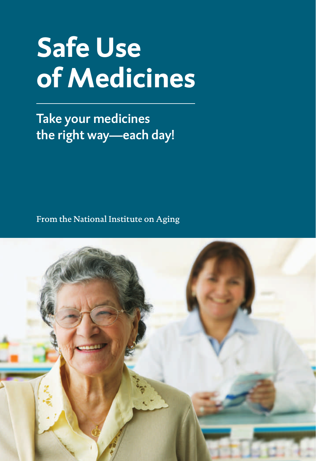# **Safe Use of Medicines**

Take your medicines the right way—each day!

From the National Institute on Aging

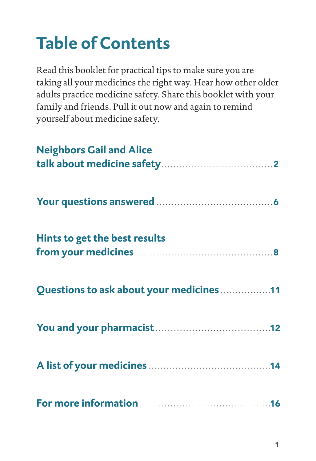## **Table of Contents**

Read this booklet for practical tips to make sure you are taking all your medicines the right way. Hear how other older adults practice medicine safety. Share this booklet with your family and friends. Pull it out now and again to remind yourself about medicine safety.

| <b>Neighbors Gail and Alice</b>          |
|------------------------------------------|
|                                          |
| Hints to get the best results            |
| Questions to ask about your medicines 11 |
|                                          |
|                                          |
|                                          |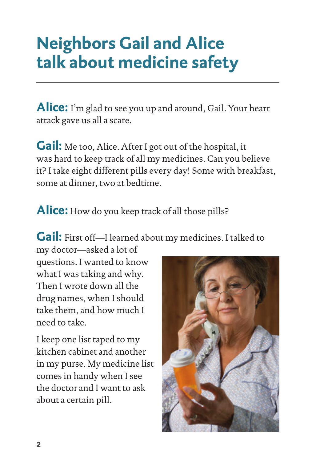## **Neighbors Gail and Alice talk about medicine safety**

**Alice:** I'm glad to see you up and around, Gail. Your heart attack gave us all a scare.

**Gail:** Me too, Alice. After I got out of the hospital, it was hard to keep track of all my medicines. Can you believe it? I take eight different pills every day! Some with breakfast, some at dinner, two at bedtime.

**Alice:** How do you keep track of all those pills?

**Gail:** First off—I learned about my medicines. I talked to

my doctor—asked a lot of questions. I wanted to know what I was taking and why. Then I wrote down all the drug names, when I should take them, and how much I need to take.

I keep one list taped to my kitchen cabinet and another in my purse. My medicine list comes in handy when I see the doctor and I want to ask about a certain pill.

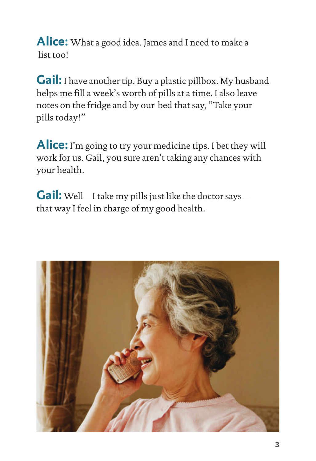**Alice:** What a good idea. James and I need to make a list too!

**Gail:** I have another tip. Buy a plastic pillbox. My husband helps me fill a week's worth of pills at a time. I also leave notes on the fridge and by our bed that say, "Take your pills today!"

**Alice:** I'm going to try your medicine tips. I bet they will work for us. Gail, you sure aren't taking any chances with your health.

**Gail:** Well—I take my pills just like the doctor says that way I feel in charge of my good health.

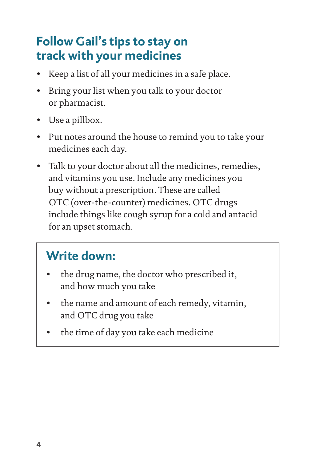### **Follow Gail's tips to stay on track with your medicines**

- Keep a list of all your medicines in a safe place.
- Bring your list when you talk to your doctor or pharmacist.
- Use a pillbox.
- Put notes around the house to remind you to take your medicines each day.
- Talk to your doctor about all the medicines, remedies, and vitamins you use. Include any medicines you buy without a prescription. These are called OTC (over-the-counter) medicines. OTC drugs include things like cough syrup for a cold and antacid for an upset stomach.

### **Write down:**

- the drug name, the doctor who prescribed it, and how much you take
- the name and amount of each remedy, vitamin, and OTC drug you take
- the time of day you take each medicine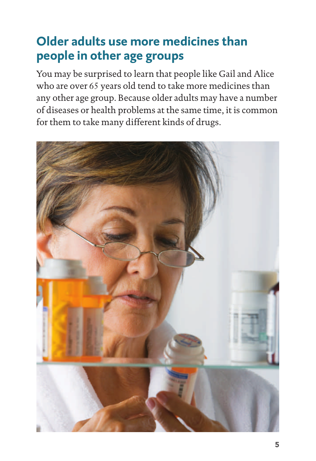## **Older adults use more medicines than people in other age groups**

You may be surprised to learn that people like Gail and Alice who are over 65 years old tend to take more medicines than any other age group. Because older adults may have a number of diseases or health problems at the same time, it is common for them to take many different kinds of drugs.

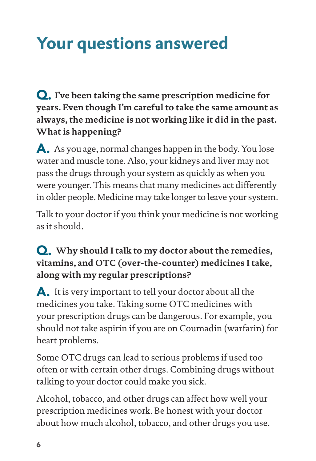## **Your questions answered**

Q. **I've been taking the same prescription medicine for years. Even though I'm careful to take the same amount as always, the medicine is not working like it did in the past. What is happening?**

A. As you age, normal changes happen in the body. You lose water and muscle tone. Also, your kidneys and liver may not pass the drugs through your system as quickly as when you were younger. This means that many medicines act differently in older people. Medicine may take longer to leave your system.

Talk to your doctor if you think your medicine is not working as it should.

#### Q. **Why should I talk to my doctor about the remedies, vitamins, and OTC (over-the-counter) medicines I take, along with my regular prescriptions?**

A. It is very important to tell your doctor about all the medicines you take. Taking some OTC medicines with your prescription drugs can be dangerous. For example, you should not take aspirin if you are on Coumadin (warfarin) for heart problems.

Some OTC drugs can lead to serious problems if used too often or with certain other drugs. Combining drugs without talking to your doctor could make you sick.

Alcohol, tobacco, and other drugs can affect how well your prescription medicines work. Be honest with your doctor about how much alcohol, tobacco, and other drugs you use.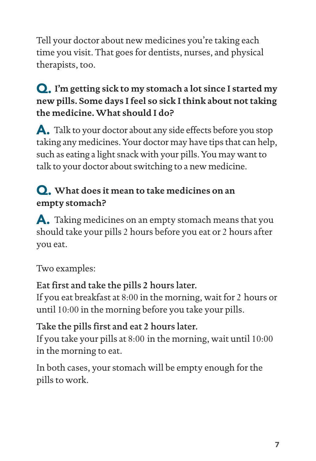Tell your doctor about new medicines you're taking each time you visit. That goes for dentists, nurses, and physical therapists, too.

#### Q. **I'm getting sick to my stomach a lot since I started my new pills. Some days I feel so sick I think about not taking the medicine. What should I do?**

A. Talk to your doctor about any side effects before you stop taking any medicines. Your doctor may have tips that can help, such as eating a light snack with your pills. You may want to talk to your doctor about switching to a new medicine.

#### Q. **What does it mean to take medicines on an empty stomach?**

A. Taking medicines on an empty stomach means that you should take your pills 2 hours before you eat or 2 hours after you eat.

Two examples:

#### Eat first and take the pills **2** hours later.

If you eat breakfast at 8:00 in the morning, wait for 2 hours or until 10:00 in the morning before you take your pills.

#### Take the pills first and eat **2** hours later.

If you take your pills at 8:00 in the morning, wait until 10:00 in the morning to eat.

In both cases, your stomach will be empty enough for the pills to work.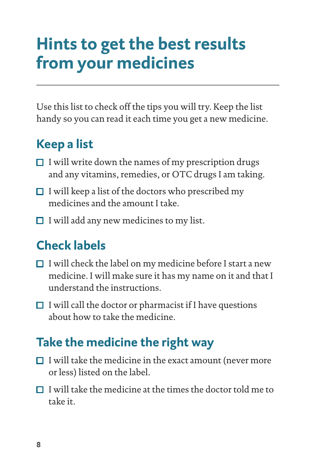## **Hints to get the best results from your medicines**

Use this list to check off the tips you will try. Keep the list handy so you can read it each time you get a new medicine.

### **Keep a list**

- $\Box$  I will write down the names of my prescription drugs and any vitamins, remedies, or OTC drugs I am taking.
- $\Box$  I will keep a list of the doctors who prescribed my medicines and the amount I take.
- $\Box$  I will add any new medicines to my list.

## **Check labels**

- $\Box$  I will check the label on my medicine before I start a new medicine. I will make sure it has my name on it and that I understand the instructions.
- $\Box$  I will call the doctor or pharmacist if I have questions about how to take the medicine.

### **Take the medicine the right way**

- $\Box$  I will take the medicine in the exact amount (never more or less) listed on the label.
- $\Box$  I will take the medicine at the times the doctor told me to take it.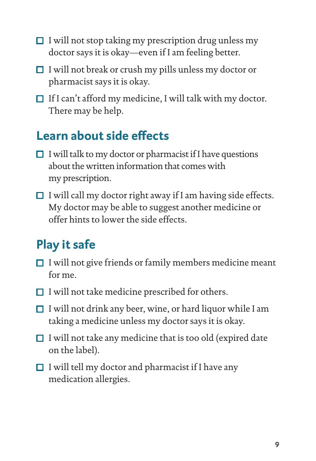- $\Box$  I will not stop taking my prescription drug unless my doctor says it is okay—even if I am feeling better.
- $\Box$  I will not break or crush my pills unless my doctor or pharmacist says it is okay.
- $\Box$  If I can't afford my medicine, I will talk with my doctor. There may be help.

### **Learn about side effects**

- $\Box$  I will talk to my doctor or pharmacist if I have questions about the written information that comes with my prescription.
- $\Box$  I will call my doctor right away if I am having side effects. My doctor may be able to suggest another medicine or offer hints to lower the side effects.

## **Play it safe**

- $\Box$  I will not give friends or family members medicine meant  $for me$
- $\Box$  I will not take medicine prescribed for others.
- $\Box$  I will not drink any beer, wine, or hard liquor while I am taking a medicine unless my doctor says it is okay.
- $\Box$  I will not take any medicine that is too old (expired date on the label).
- $\Box$  I will tell my doctor and pharmacist if I have any medication allergies.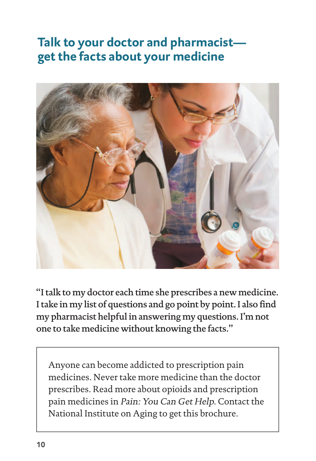### **Talk to your doctor and pharmacist get the facts about your medicine**



"I talk to my doctor each time she prescribes a new medicine. I take in my list of questions and go point by point. I also find my pharmacist helpful in answering my questions. I'm not one to take medicine without knowing the facts."

 Anyone can become addicted to prescription pain medicines. Never take more medicine than the doctor prescribes. Read more about opioids and prescription pain medicines in Pain: You Can Get Help. Contact the National Institute on Aging to get this brochure.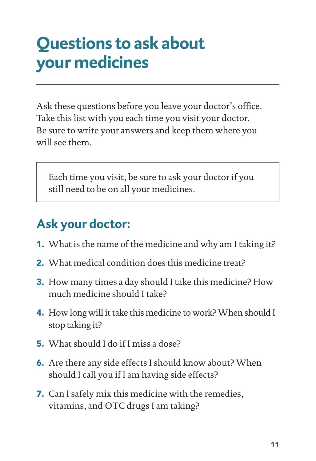## **Questions to ask about your medicines**

Ask these questions before you leave your doctor's office. Take this list with you each time you visit your doctor. Be sure to write your answers and keep them where you will see them.

Each time you visit, be sure to ask your doctor if you still need to be on all your medicines.

## **Ask your doctor:**

- 1. What is the name of the medicine and why am I taking it?
- 2. What medical condition does this medicine treat?
- **3.** How many times a day should I take this medicine? How much medicine should I take?
- **4.** How long will it take this medicine to work? When should I stop taking it?
- 5. What should I do if I miss a dose?
- 6. Are there any side effects I should know about? When should I call you if I am having side effects?
- 7. Can I safely mix this medicine with the remedies, vitamins, and OTC drugs I am taking?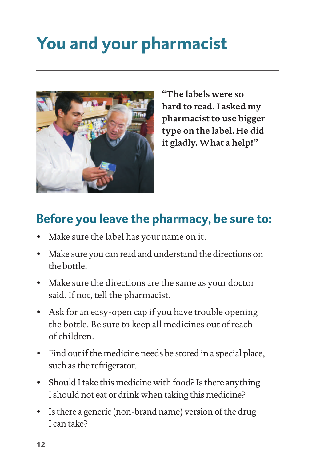## **You and your pharmacist**



**"The labels were so hard to read. I asked my pharmacist to use bigger type on the label. He did it gladly. What a help!"**

## **Before you leave the pharmacy, be sure to:**

- Make sure the label has your name on it.
- Make sure you can read and understand the directions on the bottle.
- Make sure the directions are the same as your doctor said. If not, tell the pharmacist.
- Ask for an easy-open cap if you have trouble opening the bottle. Be sure to keep all medicines out of reach of children.
- Find out if the medicine needs be stored in a special place, such as the refrigerator.
- Should I take this medicine with food? Is there anything I should not eat or drink when taking this medicine?
- Is there a generic (non-brand name) version of the drug I can take?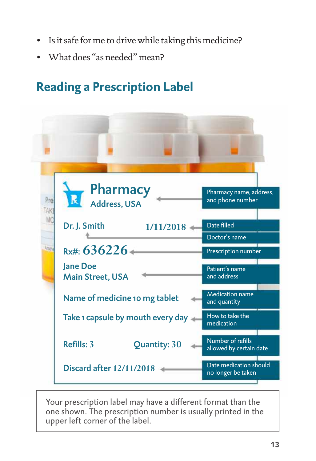- Is it safe for me to drive while taking this medicine?
- What does "as needed" mean?

## **Reading a Prescription Label**



Your prescription label may have a different format than the one shown. The prescription number is usually printed in the upper left corner of the label.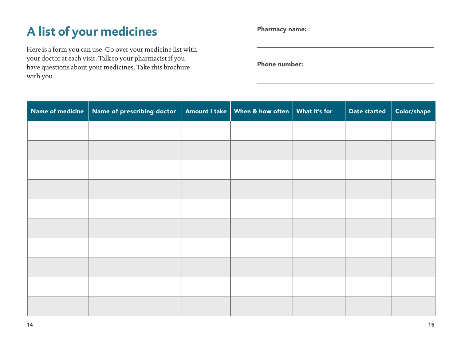## **A list of your medicines**

Here is a form you can use. Go over your medicine list with your doctor at each visit. Talk to your pharmacist if you have questions about your medicines. Take this brochure with you.

Pharmacy name:

Phone number:

| Name of medicine | Name of prescribing doctor | Amount I take   When & how often   What it's for | Date started | Color/shape |
|------------------|----------------------------|--------------------------------------------------|--------------|-------------|
|                  |                            |                                                  |              |             |
|                  |                            |                                                  |              |             |
|                  |                            |                                                  |              |             |
|                  |                            |                                                  |              |             |
|                  |                            |                                                  |              |             |
|                  |                            |                                                  |              |             |
|                  |                            |                                                  |              |             |
|                  |                            |                                                  |              |             |
|                  |                            |                                                  |              |             |
|                  |                            |                                                  |              |             |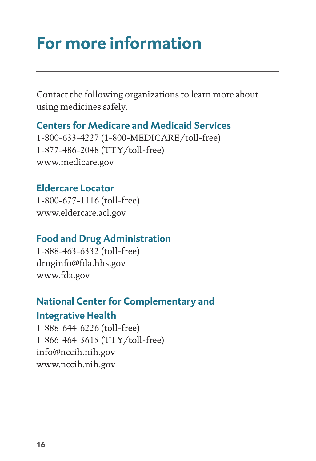## **For more information**

Contact the following organizations to learn more about using medicines safely.

#### **Centers for Medicare and Medicaid Services**

1-800-633-4227 (1-800-MEDICARE/toll-free) 1-877-486-2048 (TTY/toll-free) www.medicare.gov

#### **Eldercare Locator**

1-800-677-1116 (toll-free) www.eldercare.acl.gov

#### **Food and Drug Administration**

1-888-463-6332 (toll-free) druginfo@fda.hhs.gov www.fda.gov

## **National Center for Complementary and**

#### **Integrative Health**

1-888-644-6226 (toll-free) 1-866-464-3615 (TTY/toll-free) info@nccih.nih.gov [www.nccih.nih.gov](https://www.nccih.nih.gov/)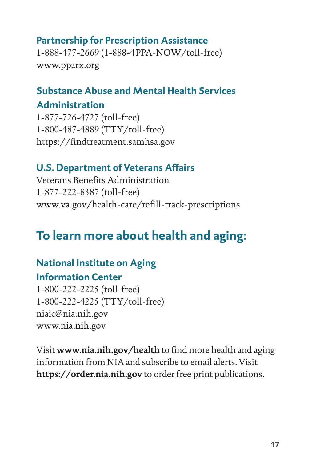#### **Partnership for Prescription Assistance**

1-888-477-2669 (1-888-4PPA-NOW/toll-free) www.pparx.org

#### **Substance Abuse and Mental Health Services**

#### **Administration**

1-877-726-4727 (toll-free) 1-800-487-4889 (TTY/toll-free) https://findtreatment.samhsa.gov

#### **U.S. Department of Veterans Affairs**

Veterans Benefits Administration 1-877-222-8387 (toll-free) www.va.gov/health-care/refill-track-prescriptions

## **To learn more about health and aging:**

### **National Institute on Aging**

#### **Information Center**

1-800-222-2225 (toll-free) 1-800-222-4225 (TTY/toll-free) niaic@nia.nih.gov www.nia.nih.gov

Visit **www.nia.nih.gov/health** to find more health and aging information from NIA and subscribe to email alerts. Visit **https://order.nia.nih.gov** to order free print publications.